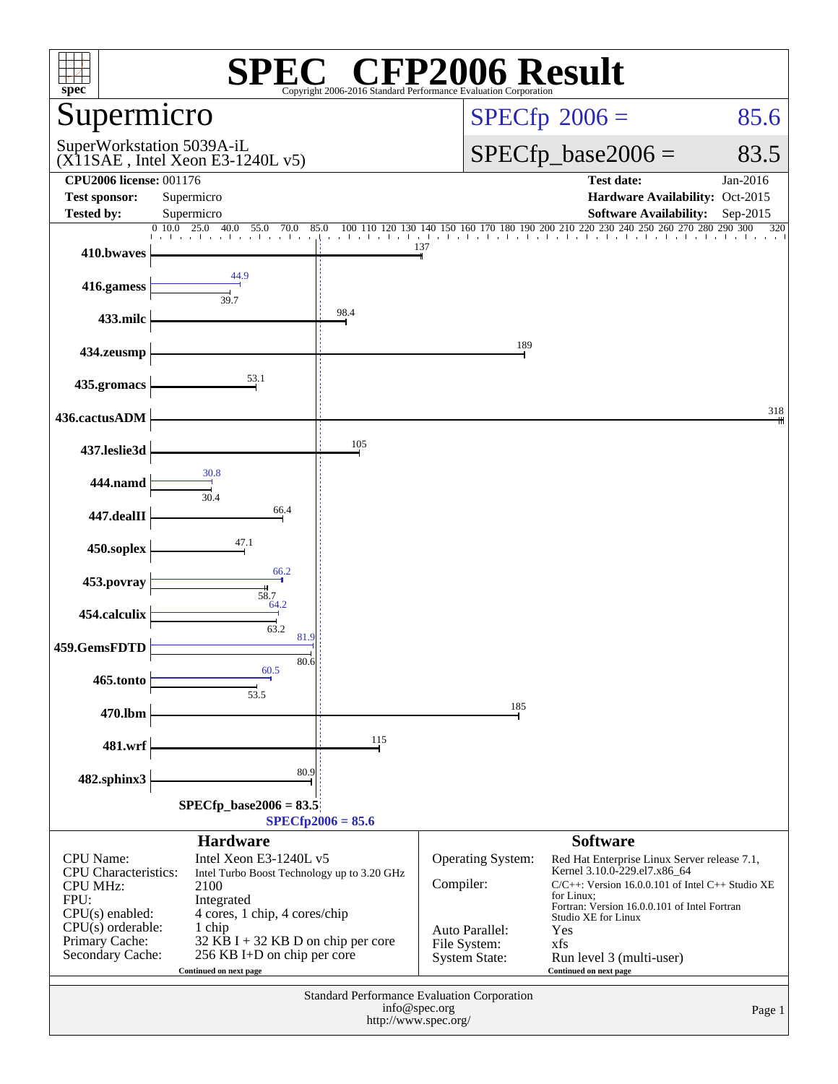| $\mathbb{C}^{\circ}$ CFP2006 Result<br>spec <sup>®</sup><br>Copyright 2006-2016 Standard Performance Evaluation Corporation |                                                                                                                                          |                     |                                                        |                                                                                                                                                                                                               |          |  |  |  |  |
|-----------------------------------------------------------------------------------------------------------------------------|------------------------------------------------------------------------------------------------------------------------------------------|---------------------|--------------------------------------------------------|---------------------------------------------------------------------------------------------------------------------------------------------------------------------------------------------------------------|----------|--|--|--|--|
| Supermicro                                                                                                                  |                                                                                                                                          |                     | $SPECfp^{\circ}2006 =$                                 | 85.6                                                                                                                                                                                                          |          |  |  |  |  |
|                                                                                                                             | SuperWorkstation 5039A-iL<br>$(X11SAE$ , Intel Xeon E3-1240L v5)                                                                         |                     | $SPECfp\_base2006 =$                                   | 83.5                                                                                                                                                                                                          |          |  |  |  |  |
| <b>CPU2006 license: 001176</b>                                                                                              |                                                                                                                                          |                     |                                                        | <b>Test date:</b>                                                                                                                                                                                             | Jan-2016 |  |  |  |  |
| <b>Test sponsor:</b><br><b>Tested by:</b>                                                                                   | Supermicro<br>Supermicro                                                                                                                 |                     |                                                        | Hardware Availability: Oct-2015<br><b>Software Availability:</b>                                                                                                                                              | Sep-2015 |  |  |  |  |
|                                                                                                                             | 0.10.0<br>25.0<br>$-40.0$<br>55.0<br>70.0<br>85.0                                                                                        |                     |                                                        | $100 \quad 110 \quad 120 \quad 130 \quad 140 \quad 150 \quad 160 \quad 170 \quad 180 \quad 190 \quad 200 \quad 210 \quad 220 \quad 230 \quad 240 \quad 250 \quad 260 \quad 270 \quad 280 \quad 290 \quad 300$ | 320      |  |  |  |  |
| 410.bwaves                                                                                                                  |                                                                                                                                          |                     | 137                                                    |                                                                                                                                                                                                               |          |  |  |  |  |
| 416.gamess                                                                                                                  | 44.9<br>39.7                                                                                                                             |                     |                                                        |                                                                                                                                                                                                               |          |  |  |  |  |
| 433.milc                                                                                                                    |                                                                                                                                          | 98.4                |                                                        |                                                                                                                                                                                                               |          |  |  |  |  |
| 434.zeusmp                                                                                                                  |                                                                                                                                          |                     | 189                                                    |                                                                                                                                                                                                               |          |  |  |  |  |
| 435.gromacs                                                                                                                 | 53.1                                                                                                                                     |                     |                                                        |                                                                                                                                                                                                               |          |  |  |  |  |
| 436.cactusADM                                                                                                               |                                                                                                                                          |                     |                                                        |                                                                                                                                                                                                               | 318      |  |  |  |  |
| 437.leslie3d                                                                                                                |                                                                                                                                          | 105                 |                                                        |                                                                                                                                                                                                               |          |  |  |  |  |
| 444.namd                                                                                                                    | 30.8<br>30.4                                                                                                                             |                     |                                                        |                                                                                                                                                                                                               |          |  |  |  |  |
| 447.dealII                                                                                                                  | 66.4                                                                                                                                     |                     |                                                        |                                                                                                                                                                                                               |          |  |  |  |  |
| 450.soplex                                                                                                                  | 47.1                                                                                                                                     |                     |                                                        |                                                                                                                                                                                                               |          |  |  |  |  |
| 453.povray                                                                                                                  | 66.2<br>58.7                                                                                                                             |                     |                                                        |                                                                                                                                                                                                               |          |  |  |  |  |
| 454.calculix                                                                                                                | 64.2<br>63.2                                                                                                                             |                     |                                                        |                                                                                                                                                                                                               |          |  |  |  |  |
| 459.GemsFDTD                                                                                                                | 81.9<br>80.6                                                                                                                             |                     |                                                        |                                                                                                                                                                                                               |          |  |  |  |  |
| 465.tonto                                                                                                                   | 60.5<br>53.5                                                                                                                             |                     |                                                        |                                                                                                                                                                                                               |          |  |  |  |  |
| 470.lbm                                                                                                                     |                                                                                                                                          |                     | 185                                                    |                                                                                                                                                                                                               |          |  |  |  |  |
| 481.wrf                                                                                                                     |                                                                                                                                          | 115                 |                                                        |                                                                                                                                                                                                               |          |  |  |  |  |
| 482.sphinx3                                                                                                                 | 80.9                                                                                                                                     |                     |                                                        |                                                                                                                                                                                                               |          |  |  |  |  |
|                                                                                                                             | $SPECfp\_base2006 = 83.5$                                                                                                                |                     |                                                        |                                                                                                                                                                                                               |          |  |  |  |  |
|                                                                                                                             | <b>Hardware</b>                                                                                                                          | $SPECfp2006 = 85.6$ |                                                        | <b>Software</b>                                                                                                                                                                                               |          |  |  |  |  |
| CPU Name:<br><b>CPU</b> Characteristics:<br>CPU MHz:<br>FPU:                                                                | Intel Xeon E3-1240L v5<br>Intel Turbo Boost Technology up to 3.20 GHz<br>2100<br>Integrated                                              |                     | Operating System:<br>Compiler:                         | Red Hat Enterprise Linux Server release 7.1,<br>Kernel 3.10.0-229.el7.x86_64<br>$C/C++$ : Version 16.0.0.101 of Intel $C++$ Studio XE<br>for Linux:<br>Fortran: Version 16.0.0.101 of Intel Fortran           |          |  |  |  |  |
| $CPU(s)$ enabled:<br>$CPU(s)$ orderable:<br>Primary Cache:<br>Secondary Cache:                                              | 4 cores, 1 chip, 4 cores/chip<br>1 chip<br>$32$ KB I + 32 KB D on chip per core<br>256 KB I+D on chip per core<br>Continued on next page |                     | Auto Parallel:<br>File System:<br><b>System State:</b> | Studio XE for Linux<br>Yes<br>xfs<br>Run level 3 (multi-user)<br>Continued on next page                                                                                                                       |          |  |  |  |  |
| Standard Performance Evaluation Corporation<br>info@spec.org<br>Page 1<br>http://www.spec.org/                              |                                                                                                                                          |                     |                                                        |                                                                                                                                                                                                               |          |  |  |  |  |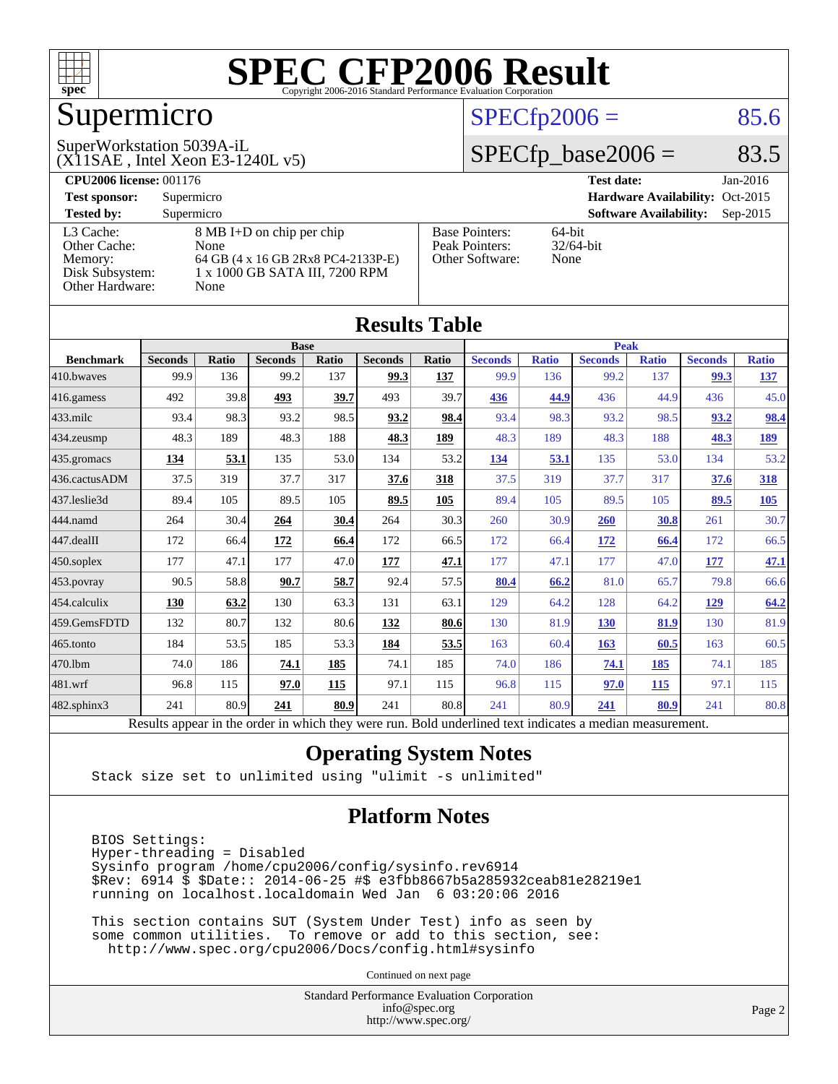

## Supermicro

#### $SPECTp2006 = 85.6$

#### (X11SAE , Intel Xeon E3-1240L v5) SuperWorkstation 5039A-iL

 $SPECTp\_base2006 = 83.5$ 

| <b>CPU2006 license: 001176</b> |                                    |                       | <b>Test date:</b><br>$Jan-2016$             |
|--------------------------------|------------------------------------|-----------------------|---------------------------------------------|
| <b>Test sponsor:</b>           | Supermicro                         |                       | Hardware Availability: Oct-2015             |
| <b>Tested by:</b>              | Supermicro                         |                       | <b>Software Availability:</b><br>$Sep-2015$ |
| L3 Cache:                      | 8 MB I+D on chip per chip          | <b>Base Pointers:</b> | $64$ -bit                                   |
| Other Cache:                   | None                               | Peak Pointers:        | $32/64$ -bit                                |
| Memory:                        | 64 GB (4 x 16 GB 2Rx8 PC4-2133P-E) | Other Software:       | None                                        |
| Disk Subsystem:                | 1 x 1000 GB SATA III, 7200 RPM     |                       |                                             |
| Other Hardware:                | None                               |                       |                                             |

| <b>Results Table</b> |                                                                                                          |              |                |       |                |       |                |              |                |              |                |              |
|----------------------|----------------------------------------------------------------------------------------------------------|--------------|----------------|-------|----------------|-------|----------------|--------------|----------------|--------------|----------------|--------------|
|                      | <b>Base</b>                                                                                              |              |                |       |                |       | <b>Peak</b>    |              |                |              |                |              |
| <b>Benchmark</b>     | <b>Seconds</b>                                                                                           | <b>Ratio</b> | <b>Seconds</b> | Ratio | <b>Seconds</b> | Ratio | <b>Seconds</b> | <b>Ratio</b> | <b>Seconds</b> | <b>Ratio</b> | <b>Seconds</b> | <b>Ratio</b> |
| 410.bwayes           | 99.9                                                                                                     | 136          | 99.2           | 137   | 99.3           | 137   | 99.9           | 136          | 99.2           | 137          | 99.3           | <u>137</u>   |
| 416.gamess           | 492                                                                                                      | 39.8         | 493            | 39.7  | 493            | 39.7  | 436            | 44.9         | 436            | 44.9         | 436            | 45.0         |
| 433.milc             | 93.4                                                                                                     | 98.3         | 93.2           | 98.5  | 93.2           | 98.4  | 93.4           | 98.3         | 93.2           | 98.5         | 93.2           | 98.4         |
| 434.zeusmp           | 48.3                                                                                                     | 189          | 48.3           | 188   | 48.3           | 189   | 48.3           | 189          | 48.3           | 188          | 48.3           | <u>189</u>   |
| 435.gromacs          | 134                                                                                                      | 53.1         | 135            | 53.0  | 134            | 53.2  | 134            | 53.1         | 135            | 53.0         | 134            | 53.2         |
| 436.cactusADM        | 37.5                                                                                                     | 319          | 37.7           | 317   | 37.6           | 318   | 37.5           | 319          | 37.7           | 317          | 37.6           | 318          |
| 437.leslie3d         | 89.4                                                                                                     | 105          | 89.5           | 105   | 89.5           | 105   | 89.4           | 105          | 89.5           | 105          | 89.5           | 105          |
| 444.namd             | 264                                                                                                      | 30.4         | 264            | 30.4  | 264            | 30.3  | 260            | 30.9         | 260            | 30.8         | 261            | 30.7         |
| 447.dealII           | 172                                                                                                      | 66.4         | 172            | 66.4  | 172            | 66.5  | 172            | 66.4         | 172            | 66.4         | 172            | 66.5         |
| 450.soplex           | 177                                                                                                      | 47.1         | 177            | 47.0  | 177            | 47.1  | 177            | 47.1         | 177            | 47.0         | 177            | 47.1         |
| 453.povray           | 90.5                                                                                                     | 58.8         | 90.7           | 58.7  | 92.4           | 57.5  | 80.4           | 66.2         | 81.0           | 65.7         | 79.8           | 66.6         |
| 454.calculix         | <b>130</b>                                                                                               | 63.2         | 130            | 63.3  | 131            | 63.1  | 129            | 64.2         | 128            | 64.2         | 129            | 64.2         |
| 459.GemsFDTD         | 132                                                                                                      | 80.7         | 132            | 80.6  | 132            | 80.6  | 130            | 81.9         | <b>130</b>     | 81.9         | 130            | 81.9         |
| 465.tonto            | 184                                                                                                      | 53.5         | 185            | 53.3  | 184            | 53.5  | 163            | 60.4         | 163            | 60.5         | 163            | 60.5         |
| 470.1bm              | 74.0                                                                                                     | 186          | 74.1           | 185   | 74.1           | 185   | 74.0           | 186          | 74.1           | 185          | 74.1           | 185          |
| 481.wrf              | 96.8                                                                                                     | 115          | 97.0           | 115   | 97.1           | 115   | 96.8           | 115          | 97.0           | 115          | 97.1           | 115          |
| 482.sphinx3          | 241                                                                                                      | 80.9         | 241            | 80.9  | 241            | 80.8  | 241            | 80.9         | 241            | 80.9         | 241            | 80.8         |
|                      | Results appear in the order in which they were run. Bold underlined text indicates a median measurement. |              |                |       |                |       |                |              |                |              |                |              |

#### **[Operating System Notes](http://www.spec.org/auto/cpu2006/Docs/result-fields.html#OperatingSystemNotes)**

Stack size set to unlimited using "ulimit -s unlimited"

#### **[Platform Notes](http://www.spec.org/auto/cpu2006/Docs/result-fields.html#PlatformNotes)**

 BIOS Settings: Hyper-threading = Disabled Sysinfo program /home/cpu2006/config/sysinfo.rev6914 \$Rev: 6914 \$ \$Date:: 2014-06-25 #\$ e3fbb8667b5a285932ceab81e28219e1 running on localhost.localdomain Wed Jan 6 03:20:06 2016

 This section contains SUT (System Under Test) info as seen by some common utilities. To remove or add to this section, see: <http://www.spec.org/cpu2006/Docs/config.html#sysinfo>

Continued on next page

Standard Performance Evaluation Corporation [info@spec.org](mailto:info@spec.org) <http://www.spec.org/>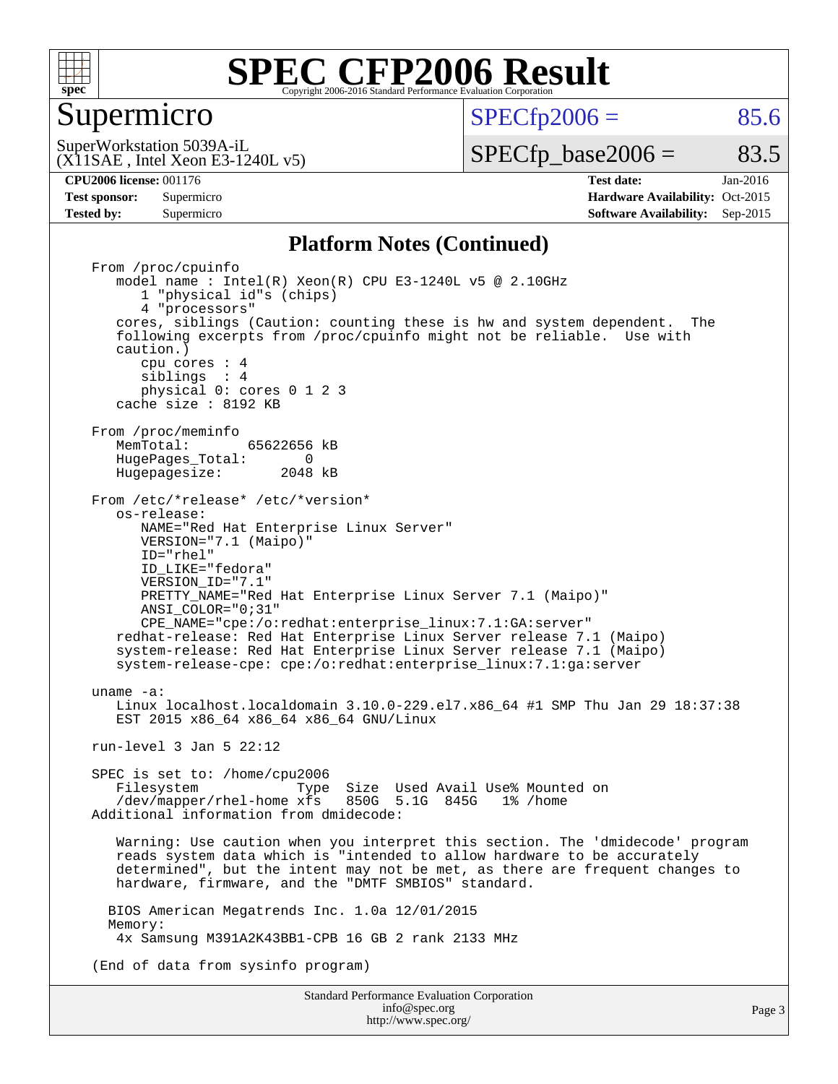

#### Supermicro

 $SPECTp2006 = 85.6$ 

(X11SAE , Intel Xeon E3-1240L v5) SuperWorkstation 5039A-iL

 $SPECTp\_base2006 = 83.5$ 

Page 3

**[CPU2006 license:](http://www.spec.org/auto/cpu2006/Docs/result-fields.html#CPU2006license)** 001176 **[Test date:](http://www.spec.org/auto/cpu2006/Docs/result-fields.html#Testdate)** Jan-2016

**[Tested by:](http://www.spec.org/auto/cpu2006/Docs/result-fields.html#Testedby)** Supermicro **Supermicro [Software Availability:](http://www.spec.org/auto/cpu2006/Docs/result-fields.html#SoftwareAvailability)** Sep-2015

**[Test sponsor:](http://www.spec.org/auto/cpu2006/Docs/result-fields.html#Testsponsor)** Supermicro Supermicro **[Hardware Availability:](http://www.spec.org/auto/cpu2006/Docs/result-fields.html#HardwareAvailability)** Oct-2015

#### **[Platform Notes \(Continued\)](http://www.spec.org/auto/cpu2006/Docs/result-fields.html#PlatformNotes)**

Standard Performance Evaluation Corporation From /proc/cpuinfo model name : Intel(R) Xeon(R) CPU E3-1240L v5 @ 2.10GHz 1 "physical id"s (chips) 4 "processors" cores, siblings (Caution: counting these is hw and system dependent. The following excerpts from /proc/cpuinfo might not be reliable. Use with caution.) cpu cores : 4 siblings : 4 physical 0: cores 0 1 2 3 cache size : 8192 KB From /proc/meminfo<br>MemTotal: 65622656 kB HugePages\_Total: 0<br>Hugepagesize: 2048 kB Hugepagesize: From /etc/\*release\* /etc/\*version\* os-release: NAME="Red Hat Enterprise Linux Server" VERSION="7.1 (Maipo)" ID="rhel" ID\_LIKE="fedora" VERSION\_ID="7.1" PRETTY NAME="Red Hat Enterprise Linux Server 7.1 (Maipo)" ANSI\_COLOR="0;31" CPE\_NAME="cpe:/o:redhat:enterprise\_linux:7.1:GA:server" redhat-release: Red Hat Enterprise Linux Server release 7.1 (Maipo) system-release: Red Hat Enterprise Linux Server release 7.1 (Maipo) system-release-cpe: cpe:/o:redhat:enterprise\_linux:7.1:ga:server uname -a: Linux localhost.localdomain 3.10.0-229.el7.x86\_64 #1 SMP Thu Jan 29 18:37:38 EST 2015 x86\_64 x86\_64 x86\_64 GNU/Linux run-level 3 Jan 5 22:12 SPEC is set to: /home/cpu2006<br>Filesystem Type Filesystem Type Size Used Avail Use% Mounted on /dev/mapper/rhel-home xfs 850G 5.1G 845G 1% /home Additional information from dmidecode: Warning: Use caution when you interpret this section. The 'dmidecode' program reads system data which is "intended to allow hardware to be accurately determined", but the intent may not be met, as there are frequent changes to hardware, firmware, and the "DMTF SMBIOS" standard. BIOS American Megatrends Inc. 1.0a 12/01/2015 Memory: 4x Samsung M391A2K43BB1-CPB 16 GB 2 rank 2133 MHz (End of data from sysinfo program)

> [info@spec.org](mailto:info@spec.org) <http://www.spec.org/>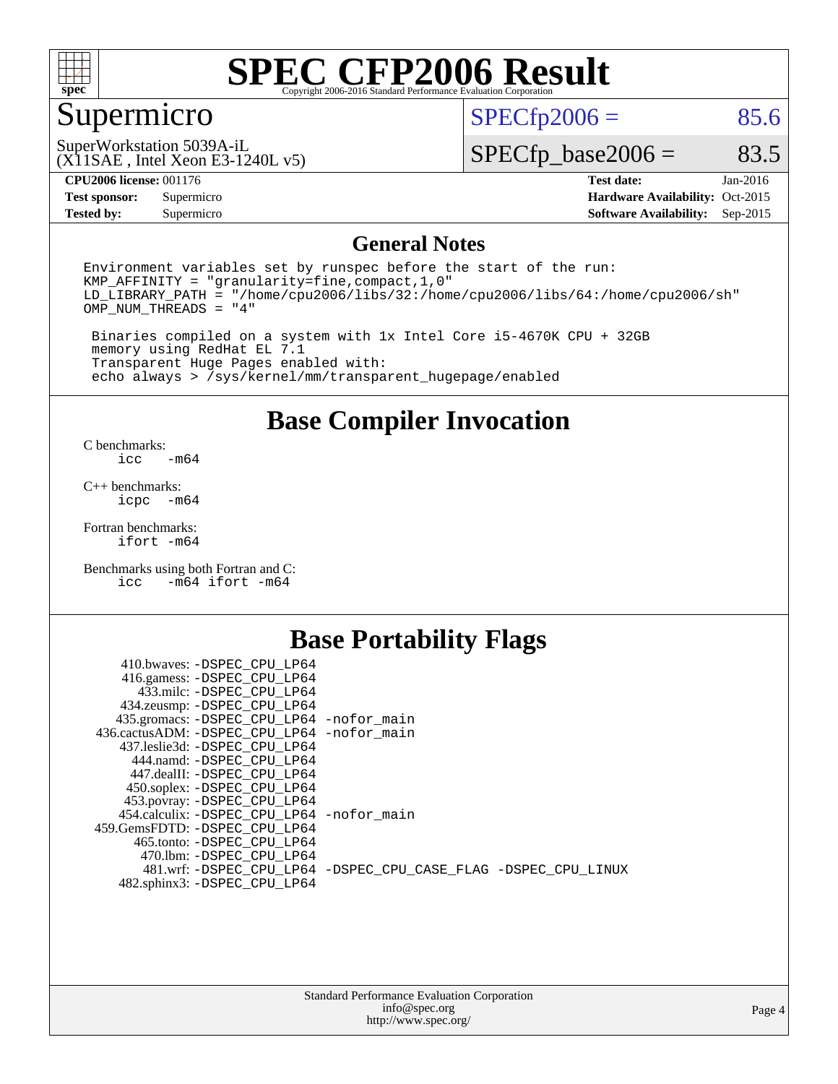

## Supermicro

 $SPECTp2006 = 85.6$ 

(X11SAE , Intel Xeon E3-1240L v5) SuperWorkstation 5039A-iL

 $SPECTp\_base2006 = 83.5$ 

#### **[CPU2006 license:](http://www.spec.org/auto/cpu2006/Docs/result-fields.html#CPU2006license)** 001176 **[Test date:](http://www.spec.org/auto/cpu2006/Docs/result-fields.html#Testdate)** Jan-2016

**[Tested by:](http://www.spec.org/auto/cpu2006/Docs/result-fields.html#Testedby)** Supermicro **Supermicro [Software Availability:](http://www.spec.org/auto/cpu2006/Docs/result-fields.html#SoftwareAvailability)** Sep-2015

**[Test sponsor:](http://www.spec.org/auto/cpu2006/Docs/result-fields.html#Testsponsor)** Supermicro Supermicro **[Hardware Availability:](http://www.spec.org/auto/cpu2006/Docs/result-fields.html#HardwareAvailability)** Oct-2015

#### **[General Notes](http://www.spec.org/auto/cpu2006/Docs/result-fields.html#GeneralNotes)**

Environment variables set by runspec before the start of the run: KMP\_AFFINITY = "granularity=fine,compact,1,0" LD\_LIBRARY\_PATH = "/home/cpu2006/libs/32:/home/cpu2006/libs/64:/home/cpu2006/sh" OMP\_NUM\_THREADS = "4"

 Binaries compiled on a system with 1x Intel Core i5-4670K CPU + 32GB memory using RedHat EL 7.1 Transparent Huge Pages enabled with: echo always > /sys/kernel/mm/transparent\_hugepage/enabled

#### **[Base Compiler Invocation](http://www.spec.org/auto/cpu2006/Docs/result-fields.html#BaseCompilerInvocation)**

[C benchmarks](http://www.spec.org/auto/cpu2006/Docs/result-fields.html#Cbenchmarks):  $-m64$ 

[C++ benchmarks:](http://www.spec.org/auto/cpu2006/Docs/result-fields.html#CXXbenchmarks) [icpc -m64](http://www.spec.org/cpu2006/results/res2016q1/cpu2006-20160111-38662.flags.html#user_CXXbase_intel_icpc_64bit_bedb90c1146cab66620883ef4f41a67e)

[Fortran benchmarks](http://www.spec.org/auto/cpu2006/Docs/result-fields.html#Fortranbenchmarks): [ifort -m64](http://www.spec.org/cpu2006/results/res2016q1/cpu2006-20160111-38662.flags.html#user_FCbase_intel_ifort_64bit_ee9d0fb25645d0210d97eb0527dcc06e)

[Benchmarks using both Fortran and C](http://www.spec.org/auto/cpu2006/Docs/result-fields.html#BenchmarksusingbothFortranandC): [icc -m64](http://www.spec.org/cpu2006/results/res2016q1/cpu2006-20160111-38662.flags.html#user_CC_FCbase_intel_icc_64bit_0b7121f5ab7cfabee23d88897260401c) [ifort -m64](http://www.spec.org/cpu2006/results/res2016q1/cpu2006-20160111-38662.flags.html#user_CC_FCbase_intel_ifort_64bit_ee9d0fb25645d0210d97eb0527dcc06e)

#### **[Base Portability Flags](http://www.spec.org/auto/cpu2006/Docs/result-fields.html#BasePortabilityFlags)**

| 410.bwaves: -DSPEC CPU LP64                |                                                                |
|--------------------------------------------|----------------------------------------------------------------|
| 416.gamess: -DSPEC_CPU_LP64                |                                                                |
| 433.milc: -DSPEC CPU LP64                  |                                                                |
| 434.zeusmp: -DSPEC_CPU_LP64                |                                                                |
| 435.gromacs: -DSPEC_CPU_LP64 -nofor_main   |                                                                |
| 436.cactusADM: -DSPEC CPU LP64 -nofor main |                                                                |
| 437.leslie3d: -DSPEC CPU LP64              |                                                                |
| 444.namd: -DSPEC CPU LP64                  |                                                                |
| 447.dealII: -DSPEC CPU LP64                |                                                                |
| 450.soplex: -DSPEC_CPU_LP64                |                                                                |
| 453.povray: -DSPEC_CPU_LP64                |                                                                |
| 454.calculix: -DSPEC CPU LP64 -nofor main  |                                                                |
| 459. GemsFDTD: - DSPEC CPU LP64            |                                                                |
| 465.tonto: - DSPEC CPU LP64                |                                                                |
| 470.1bm: - DSPEC CPU LP64                  |                                                                |
|                                            | 481.wrf: -DSPEC CPU_LP64 -DSPEC_CPU_CASE_FLAG -DSPEC_CPU_LINUX |
| 482.sphinx3: -DSPEC_CPU_LP64               |                                                                |
|                                            |                                                                |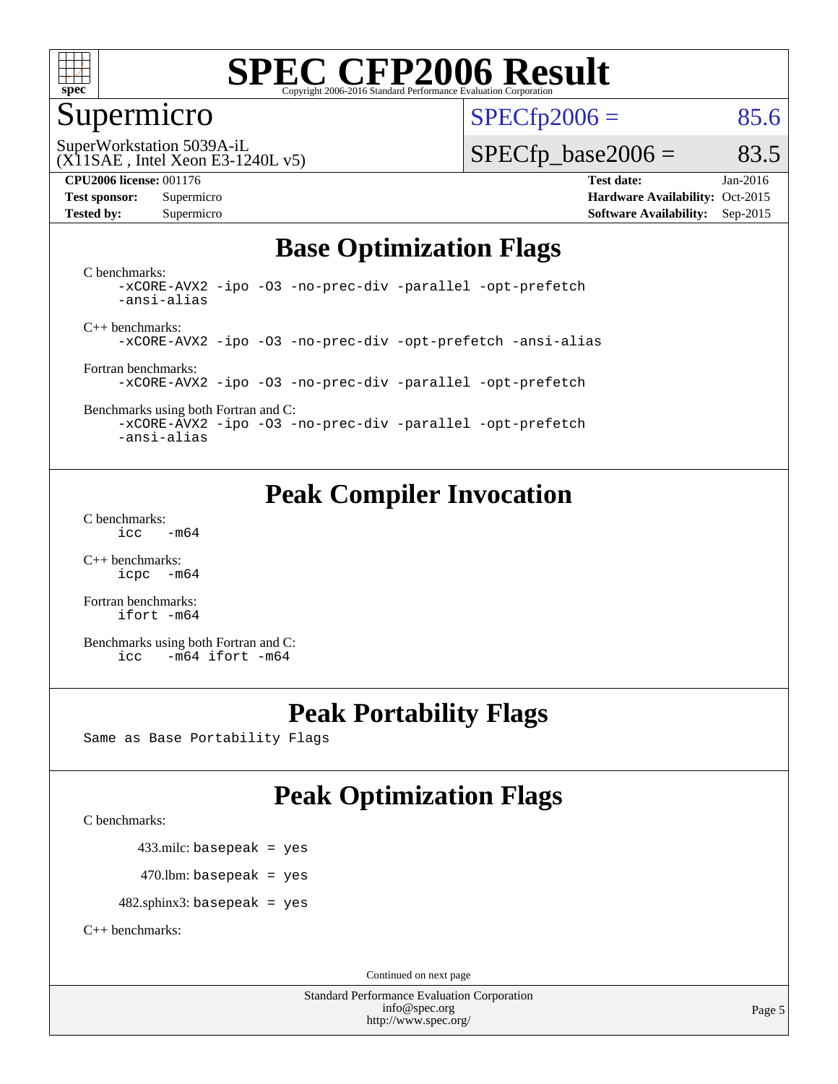

#### Supermicro

 $SPECTp2006 = 85.6$ 

(X11SAE , Intel Xeon E3-1240L v5) SuperWorkstation 5039A-iL

#### **[CPU2006 license:](http://www.spec.org/auto/cpu2006/Docs/result-fields.html#CPU2006license)** 001176 **[Test date:](http://www.spec.org/auto/cpu2006/Docs/result-fields.html#Testdate)** Jan-2016

 $SPECTp\_base2006 = 83.5$ 

**[Test sponsor:](http://www.spec.org/auto/cpu2006/Docs/result-fields.html#Testsponsor)** Supermicro Supermicro **[Hardware Availability:](http://www.spec.org/auto/cpu2006/Docs/result-fields.html#HardwareAvailability)** Oct-2015 **[Tested by:](http://www.spec.org/auto/cpu2006/Docs/result-fields.html#Testedby)** Supermicro **Supermicro [Software Availability:](http://www.spec.org/auto/cpu2006/Docs/result-fields.html#SoftwareAvailability)** Sep-2015

### **[Base Optimization Flags](http://www.spec.org/auto/cpu2006/Docs/result-fields.html#BaseOptimizationFlags)**

[C benchmarks](http://www.spec.org/auto/cpu2006/Docs/result-fields.html#Cbenchmarks): [-xCORE-AVX2](http://www.spec.org/cpu2006/results/res2016q1/cpu2006-20160111-38662.flags.html#user_CCbase_f-xAVX2_5f5fc0cbe2c9f62c816d3e45806c70d7) [-ipo](http://www.spec.org/cpu2006/results/res2016q1/cpu2006-20160111-38662.flags.html#user_CCbase_f-ipo) [-O3](http://www.spec.org/cpu2006/results/res2016q1/cpu2006-20160111-38662.flags.html#user_CCbase_f-O3) [-no-prec-div](http://www.spec.org/cpu2006/results/res2016q1/cpu2006-20160111-38662.flags.html#user_CCbase_f-no-prec-div) [-parallel](http://www.spec.org/cpu2006/results/res2016q1/cpu2006-20160111-38662.flags.html#user_CCbase_f-parallel) [-opt-prefetch](http://www.spec.org/cpu2006/results/res2016q1/cpu2006-20160111-38662.flags.html#user_CCbase_f-opt-prefetch) [-ansi-alias](http://www.spec.org/cpu2006/results/res2016q1/cpu2006-20160111-38662.flags.html#user_CCbase_f-ansi-alias)

[C++ benchmarks:](http://www.spec.org/auto/cpu2006/Docs/result-fields.html#CXXbenchmarks) [-xCORE-AVX2](http://www.spec.org/cpu2006/results/res2016q1/cpu2006-20160111-38662.flags.html#user_CXXbase_f-xAVX2_5f5fc0cbe2c9f62c816d3e45806c70d7) [-ipo](http://www.spec.org/cpu2006/results/res2016q1/cpu2006-20160111-38662.flags.html#user_CXXbase_f-ipo) [-O3](http://www.spec.org/cpu2006/results/res2016q1/cpu2006-20160111-38662.flags.html#user_CXXbase_f-O3) [-no-prec-div](http://www.spec.org/cpu2006/results/res2016q1/cpu2006-20160111-38662.flags.html#user_CXXbase_f-no-prec-div) [-opt-prefetch](http://www.spec.org/cpu2006/results/res2016q1/cpu2006-20160111-38662.flags.html#user_CXXbase_f-opt-prefetch) [-ansi-alias](http://www.spec.org/cpu2006/results/res2016q1/cpu2006-20160111-38662.flags.html#user_CXXbase_f-ansi-alias)

[Fortran benchmarks](http://www.spec.org/auto/cpu2006/Docs/result-fields.html#Fortranbenchmarks): [-xCORE-AVX2](http://www.spec.org/cpu2006/results/res2016q1/cpu2006-20160111-38662.flags.html#user_FCbase_f-xAVX2_5f5fc0cbe2c9f62c816d3e45806c70d7) [-ipo](http://www.spec.org/cpu2006/results/res2016q1/cpu2006-20160111-38662.flags.html#user_FCbase_f-ipo) [-O3](http://www.spec.org/cpu2006/results/res2016q1/cpu2006-20160111-38662.flags.html#user_FCbase_f-O3) [-no-prec-div](http://www.spec.org/cpu2006/results/res2016q1/cpu2006-20160111-38662.flags.html#user_FCbase_f-no-prec-div) [-parallel](http://www.spec.org/cpu2006/results/res2016q1/cpu2006-20160111-38662.flags.html#user_FCbase_f-parallel) [-opt-prefetch](http://www.spec.org/cpu2006/results/res2016q1/cpu2006-20160111-38662.flags.html#user_FCbase_f-opt-prefetch)

#### [Benchmarks using both Fortran and C](http://www.spec.org/auto/cpu2006/Docs/result-fields.html#BenchmarksusingbothFortranandC): [-xCORE-AVX2](http://www.spec.org/cpu2006/results/res2016q1/cpu2006-20160111-38662.flags.html#user_CC_FCbase_f-xAVX2_5f5fc0cbe2c9f62c816d3e45806c70d7) [-ipo](http://www.spec.org/cpu2006/results/res2016q1/cpu2006-20160111-38662.flags.html#user_CC_FCbase_f-ipo) [-O3](http://www.spec.org/cpu2006/results/res2016q1/cpu2006-20160111-38662.flags.html#user_CC_FCbase_f-O3) [-no-prec-div](http://www.spec.org/cpu2006/results/res2016q1/cpu2006-20160111-38662.flags.html#user_CC_FCbase_f-no-prec-div) [-parallel](http://www.spec.org/cpu2006/results/res2016q1/cpu2006-20160111-38662.flags.html#user_CC_FCbase_f-parallel) [-opt-prefetch](http://www.spec.org/cpu2006/results/res2016q1/cpu2006-20160111-38662.flags.html#user_CC_FCbase_f-opt-prefetch)

[-ansi-alias](http://www.spec.org/cpu2006/results/res2016q1/cpu2006-20160111-38662.flags.html#user_CC_FCbase_f-ansi-alias)

**[Peak Compiler Invocation](http://www.spec.org/auto/cpu2006/Docs/result-fields.html#PeakCompilerInvocation)**

[C benchmarks](http://www.spec.org/auto/cpu2006/Docs/result-fields.html#Cbenchmarks):  $\text{icc}$   $-\text{m64}$ 

[C++ benchmarks:](http://www.spec.org/auto/cpu2006/Docs/result-fields.html#CXXbenchmarks) [icpc -m64](http://www.spec.org/cpu2006/results/res2016q1/cpu2006-20160111-38662.flags.html#user_CXXpeak_intel_icpc_64bit_bedb90c1146cab66620883ef4f41a67e)

[Fortran benchmarks](http://www.spec.org/auto/cpu2006/Docs/result-fields.html#Fortranbenchmarks): [ifort -m64](http://www.spec.org/cpu2006/results/res2016q1/cpu2006-20160111-38662.flags.html#user_FCpeak_intel_ifort_64bit_ee9d0fb25645d0210d97eb0527dcc06e)

[Benchmarks using both Fortran and C](http://www.spec.org/auto/cpu2006/Docs/result-fields.html#BenchmarksusingbothFortranandC): [icc -m64](http://www.spec.org/cpu2006/results/res2016q1/cpu2006-20160111-38662.flags.html#user_CC_FCpeak_intel_icc_64bit_0b7121f5ab7cfabee23d88897260401c) [ifort -m64](http://www.spec.org/cpu2006/results/res2016q1/cpu2006-20160111-38662.flags.html#user_CC_FCpeak_intel_ifort_64bit_ee9d0fb25645d0210d97eb0527dcc06e)

### **[Peak Portability Flags](http://www.spec.org/auto/cpu2006/Docs/result-fields.html#PeakPortabilityFlags)**

Same as Base Portability Flags

## **[Peak Optimization Flags](http://www.spec.org/auto/cpu2006/Docs/result-fields.html#PeakOptimizationFlags)**

[C benchmarks](http://www.spec.org/auto/cpu2006/Docs/result-fields.html#Cbenchmarks):

433.milc: basepeak = yes

 $470.$ lbm: basepeak = yes

482.sphinx3: basepeak = yes

[C++ benchmarks:](http://www.spec.org/auto/cpu2006/Docs/result-fields.html#CXXbenchmarks)

Continued on next page

Standard Performance Evaluation Corporation [info@spec.org](mailto:info@spec.org) <http://www.spec.org/>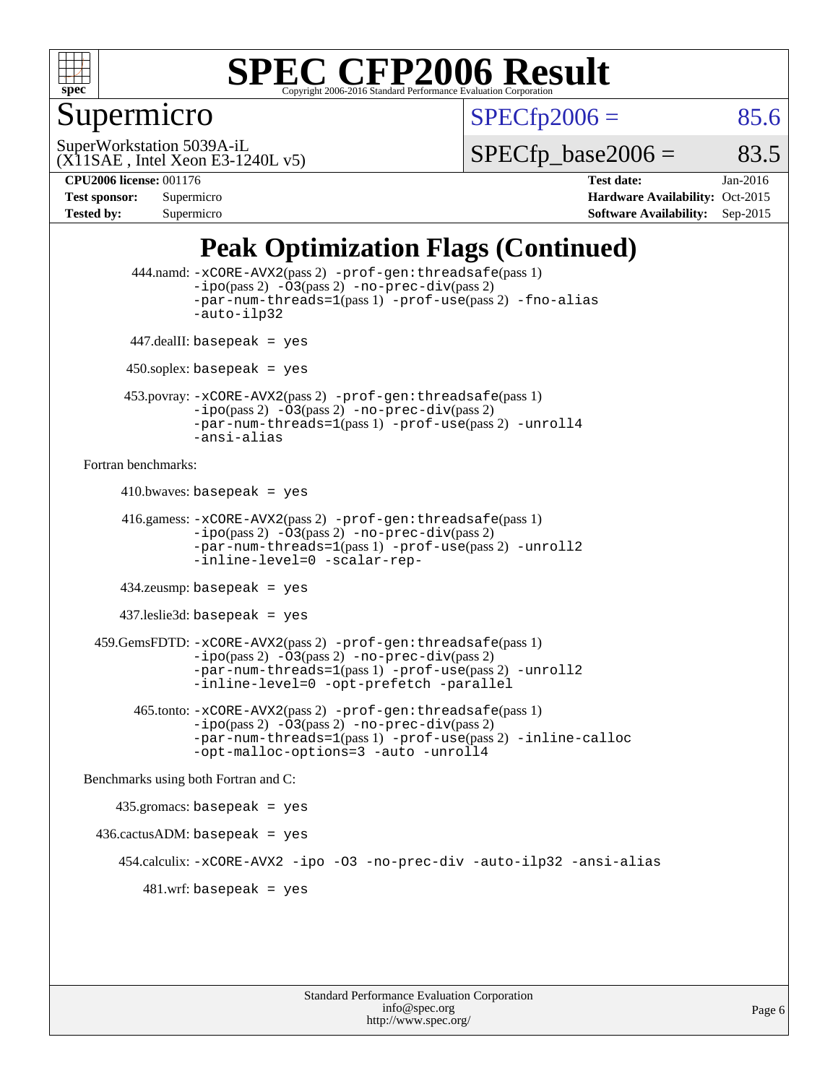

### Supermicro

 $SPECTp2006 = 85.6$ 

(X11SAE , Intel Xeon E3-1240L v5) SuperWorkstation 5039A-iL

 $SPECTp\_base2006 = 83.5$ 

**[CPU2006 license:](http://www.spec.org/auto/cpu2006/Docs/result-fields.html#CPU2006license)** 001176 **[Test date:](http://www.spec.org/auto/cpu2006/Docs/result-fields.html#Testdate)** Jan-2016 **[Test sponsor:](http://www.spec.org/auto/cpu2006/Docs/result-fields.html#Testsponsor)** Supermicro Supermicro **[Hardware Availability:](http://www.spec.org/auto/cpu2006/Docs/result-fields.html#HardwareAvailability)** Oct-2015 **[Tested by:](http://www.spec.org/auto/cpu2006/Docs/result-fields.html#Testedby)** Supermicro **Supermicro [Software Availability:](http://www.spec.org/auto/cpu2006/Docs/result-fields.html#SoftwareAvailability)** Sep-2015

## **[Peak Optimization Flags \(Continued\)](http://www.spec.org/auto/cpu2006/Docs/result-fields.html#PeakOptimizationFlags)**

```
 444.namd: -xCORE-AVX2(pass 2) -prof-gen:threadsafe(pass 1)
               -ipo(pass 2) -03(pass 2) -no-prec-div(pass 2)
               -par-num-threads=1(pass 1) -prof-use(pass 2) -fno-alias
               -auto-ilp32
      447.dealII: basepeak = yes
      450.soplex: basepeak = yes
      453.povray: -xCORE-AVX2(pass 2) -prof-gen:threadsafe(pass 1)
               -no-prec-div(pass 2)-par-num-threads=1(pass 1) -prof-use(pass 2) -unroll4
               -ansi-alias
Fortran benchmarks: 
     410.bwaves: basepeak = yes 416.gamess: -xCORE-AVX2(pass 2) -prof-gen:threadsafe(pass 1)
               -ipo(pass 2) -03(pass 2) -no-prec-div(pass 2)-par-num-threads=1(pass 1) -prof-use(pass 2) -unroll2
               -inline-level=0 -scalar-rep-
      434.zeusmp: basepeak = yes
     437.leslie3d: basepeak = yes
  459.GemsFDTD: -xCORE-AVX2(pass 2) -prof-gen:threadsafe(pass 1)
               -i\text{po}(pass 2) -\tilde{O}3(pass 2)-no-prec-div(pass 2)
               -par-num-threads=1(pass 1) -prof-use(pass 2) -unroll2
               -inline-level=0 -opt-prefetch -parallel
        465.tonto: -xCORE-AVX2(pass 2) -prof-gen:threadsafe(pass 1)
               -no-prec-div(pass 2)-par-num-threads=1(pass 1) -prof-use(pass 2) -inline-calloc
               -opt-malloc-options=3 -auto -unroll4
Benchmarks using both Fortran and C: 
     435.gromacs: basepeak = yes
 436.cactusADM:basepeak = yes 454.calculix: -xCORE-AVX2 -ipo -O3 -no-prec-div -auto-ilp32 -ansi-alias
        481 \text{.m}: basepeak = yes
```